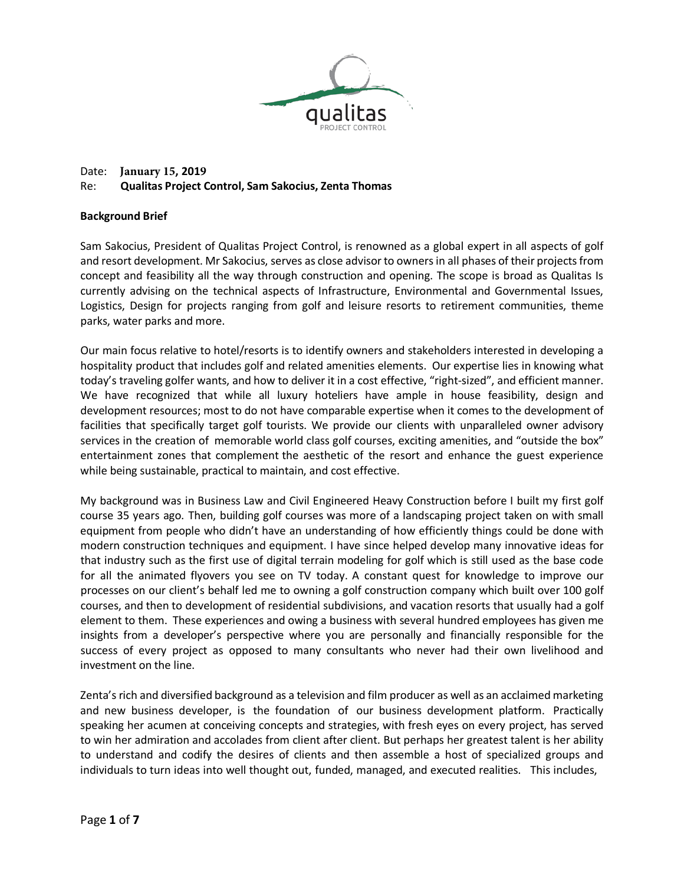

# Date: **January 15, 2019** Re: **Qualitas Project Control, Sam Sakocius, Zenta Thomas**

# **Background Brief**

Sam Sakocius, President of Qualitas Project Control, is renowned as a global expert in all aspects of golf and resort development. Mr Sakocius, serves as close advisorto ownersin all phases of their projectsfrom concept and feasibility all the way through construction and opening. The scope is broad as Qualitas Is currently advising on the technical aspects of Infrastructure, Environmental and Governmental Issues, Logistics, Design for projects ranging from golf and leisure resorts to retirement communities, theme parks, water parks and more.

Our main focus relative to hotel/resorts is to identify owners and stakeholders interested in developing a hospitality product that includes golf and related amenities elements. Our expertise lies in knowing what today's traveling golfer wants, and how to deliver it in a cost effective, "right-sized", and efficient manner. We have recognized that while all luxury hoteliers have ample in house feasibility, design and development resources; most to do not have comparable expertise when it comes to the development of facilities that specifically target golf tourists. We provide our clients with unparalleled owner advisory services in the creation of memorable world class golf courses, exciting amenities, and "outside the box" entertainment zones that complement the aesthetic of the resort and enhance the guest experience while being sustainable, practical to maintain, and cost effective.

My background was in Business Law and Civil Engineered Heavy Construction before I built my first golf course 35 years ago. Then, building golf courses was more of a landscaping project taken on with small equipment from people who didn't have an understanding of how efficiently things could be done with modern construction techniques and equipment. I have since helped develop many innovative ideas for that industry such as the first use of digital terrain modeling for golf which is still used as the base code for all the animated flyovers you see on TV today. A constant quest for knowledge to improve our processes on our client's behalf led me to owning a golf construction company which built over 100 golf courses, and then to development of residential subdivisions, and vacation resorts that usually had a golf element to them. These experiences and owing a business with several hundred employees has given me insights from a developer's perspective where you are personally and financially responsible for the success of every project as opposed to many consultants who never had their own livelihood and investment on the line.

Zenta's rich and diversified background as a television and film producer as well as an acclaimed marketing and new business developer, is the foundation of our business development platform. Practically speaking her acumen at conceiving concepts and strategies, with fresh eyes on every project, has served to win her admiration and accolades from client after client. But perhaps her greatest talent is her ability to understand and codify the desires of clients and then assemble a host of specialized groups and individuals to turn ideas into well thought out, funded, managed, and executed realities. This includes,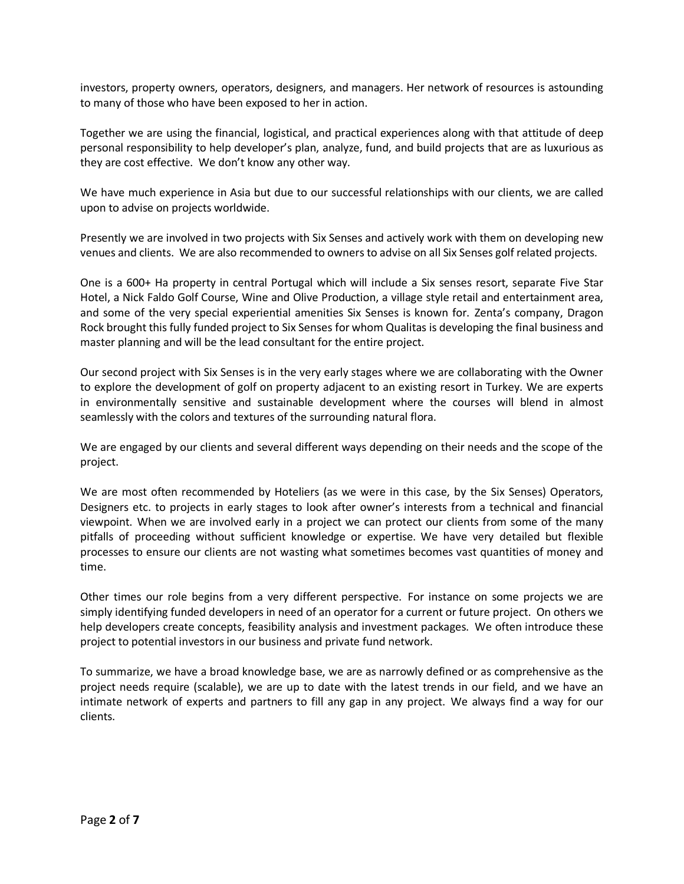investors, property owners, operators, designers, and managers. Her network of resources is astounding to many of those who have been exposed to her in action.

Together we are using the financial, logistical, and practical experiences along with that attitude of deep personal responsibility to help developer's plan, analyze, fund, and build projects that are as luxurious as they are cost effective. We don't know any other way.

We have much experience in Asia but due to our successful relationships with our clients, we are called upon to advise on projects worldwide.

Presently we are involved in two projects with Six Senses and actively work with them on developing new venues and clients. We are also recommended to owners to advise on all Six Senses golf related projects.

One is a 600+ Ha property in central Portugal which will include a Six senses resort, separate Five Star Hotel, a Nick Faldo Golf Course, Wine and Olive Production, a village style retail and entertainment area, and some of the very special experiential amenities Six Senses is known for. Zenta's company, Dragon Rock brought this fully funded project to Six Senses for whom Qualitas is developing the final business and master planning and will be the lead consultant for the entire project.

Our second project with Six Senses is in the very early stages where we are collaborating with the Owner to explore the development of golf on property adjacent to an existing resort in Turkey. We are experts in environmentally sensitive and sustainable development where the courses will blend in almost seamlessly with the colors and textures of the surrounding natural flora.

We are engaged by our clients and several different ways depending on their needs and the scope of the project.

We are most often recommended by Hoteliers (as we were in this case, by the Six Senses) Operators, Designers etc. to projects in early stages to look after owner's interests from a technical and financial viewpoint. When we are involved early in a project we can protect our clients from some of the many pitfalls of proceeding without sufficient knowledge or expertise. We have very detailed but flexible processes to ensure our clients are not wasting what sometimes becomes vast quantities of money and time.

Other times our role begins from a very different perspective. For instance on some projects we are simply identifying funded developers in need of an operator for a current or future project. On others we help developers create concepts, feasibility analysis and investment packages. We often introduce these project to potential investors in our business and private fund network.

To summarize, we have a broad knowledge base, we are as narrowly defined or as comprehensive as the project needs require (scalable), we are up to date with the latest trends in our field, and we have an intimate network of experts and partners to fill any gap in any project. We always find a way for our clients.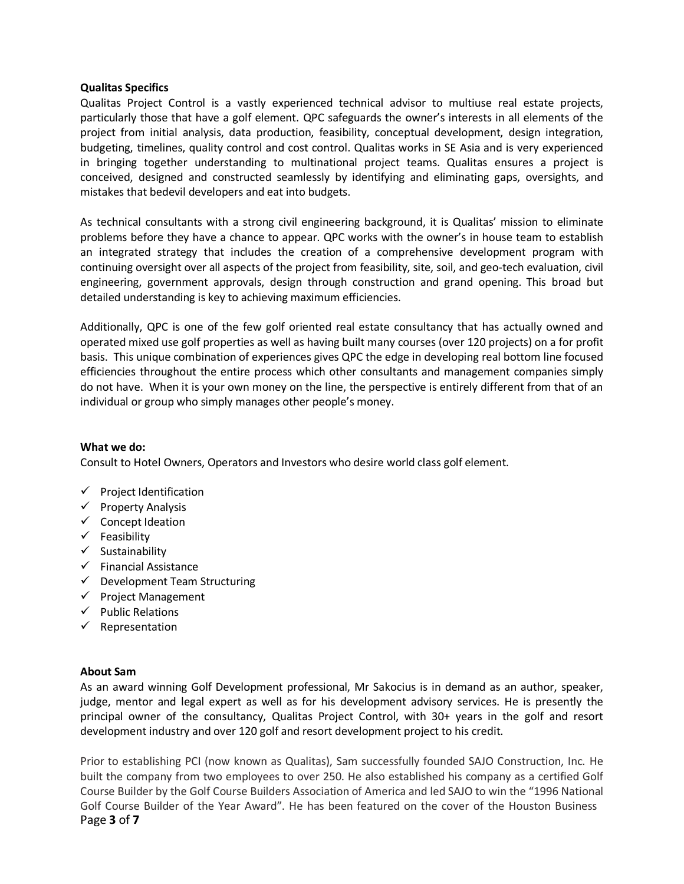#### **Qualitas Specifics**

Qualitas Project Control is a vastly experienced technical advisor to multiuse real estate projects, particularly those that have a golf element. QPC safeguards the owner's interests in all elements of the project from initial analysis, data production, feasibility, conceptual development, design integration, budgeting, timelines, quality control and cost control. Qualitas works in SE Asia and is very experienced in bringing together understanding to multinational project teams. Qualitas ensures a project is conceived, designed and constructed seamlessly by identifying and eliminating gaps, oversights, and mistakes that bedevil developers and eat into budgets.

As technical consultants with a strong civil engineering background, it is Qualitas' mission to eliminate problems before they have a chance to appear. QPC works with the owner's in house team to establish an integrated strategy that includes the creation of a comprehensive development program with continuing oversight over all aspects of the project from feasibility, site, soil, and geo-tech evaluation, civil engineering, government approvals, design through construction and grand opening. This broad but detailed understanding is key to achieving maximum efficiencies.

Additionally, QPC is one of the few golf oriented real estate consultancy that has actually owned and operated mixed use golf properties as well as having built many courses (over 120 projects) on a for profit basis. This unique combination of experiences gives QPC the edge in developing real bottom line focused efficiencies throughout the entire process which other consultants and management companies simply do not have. When it is your own money on the line, the perspective is entirely different from that of an individual or group who simply manages other people's money.

#### **What we do:**

Consult to Hotel Owners, Operators and Investors who desire world class golf element.

- $\checkmark$  Project Identification
- $\checkmark$  Property Analysis
- $\checkmark$  Concept Ideation
- $\checkmark$  Feasibility
- $\checkmark$  Sustainability
- $\checkmark$  Financial Assistance
- $\checkmark$  Development Team Structuring
- $\checkmark$  Project Management
- $\checkmark$  Public Relations
- $\checkmark$  Representation

# **About Sam**

As an award winning Golf Development professional, Mr Sakocius is in demand as an author, speaker, judge, mentor and legal expert as well as for his development advisory services. He is presently the principal owner of the consultancy, Qualitas Project Control, with 30+ years in the golf and resort development industry and over 120 golf and resort development project to his credit.

Page **3** of **7** Prior to establishing PCI (now known as Qualitas), Sam successfully founded SAJO Construction, Inc. He built the company from two employees to over 250. He also established his company as a certified Golf Course Builder by the Golf Course Builders Association of America and led SAJO to win the "1996 National Golf Course Builder of the Year Award". He has been featured on the cover of the Houston Business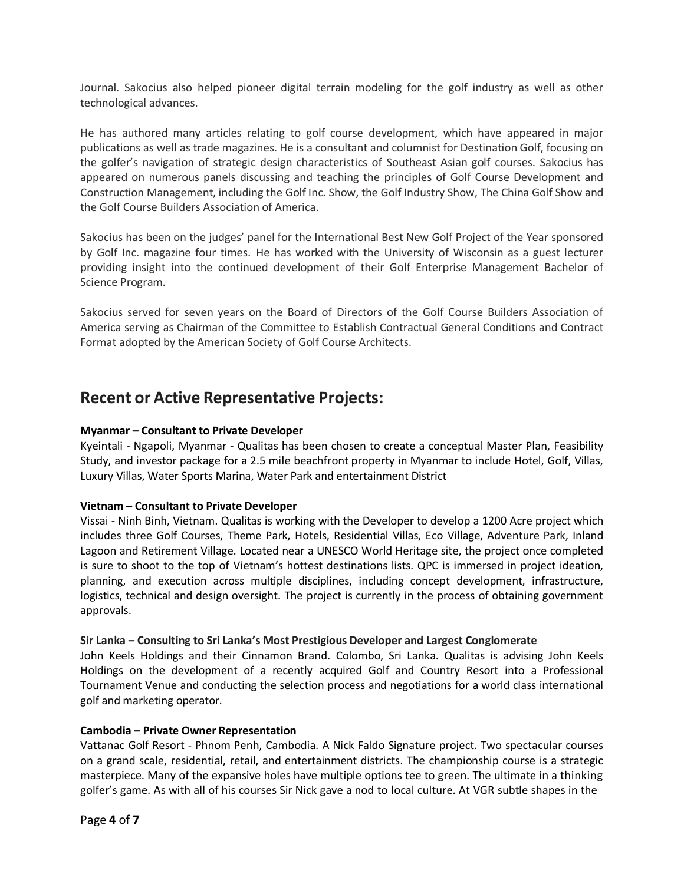Journal. Sakocius also helped pioneer digital terrain modeling for the golf industry as well as other technological advances.

He has authored many articles relating to golf course development, which have appeared in major publications as well as trade magazines. He is a consultant and columnist for Destination Golf, focusing on the golfer's navigation of strategic design characteristics of Southeast Asian golf courses. Sakocius has appeared on numerous panels discussing and teaching the principles of Golf Course Development and Construction Management, including the Golf Inc. Show, the Golf Industry Show, The China Golf Show and the Golf Course Builders Association of America.

Sakocius has been on the judges' panel for the International Best New Golf Project of the Year sponsored by Golf Inc. magazine four times. He has worked with the University of Wisconsin as a guest lecturer providing insight into the continued development of their Golf Enterprise Management Bachelor of Science Program.

Sakocius served for seven years on the Board of Directors of the Golf Course Builders Association of America serving as Chairman of the Committee to Establish Contractual General Conditions and Contract Format adopted by the American Society of Golf Course Architects.

# **Recent or Active Representative Projects:**

# **Myanmar – Consultant to Private Developer**

Kyeintali - Ngapoli, Myanmar - Qualitas has been chosen to create a conceptual Master Plan, Feasibility Study, and investor package for a 2.5 mile beachfront property in Myanmar to include Hotel, Golf, Villas, Luxury Villas, Water Sports Marina, Water Park and entertainment District

# **Vietnam – Consultant to Private Developer**

Vissai - Ninh Binh, Vietnam. Qualitas is working with the Developer to develop a 1200 Acre project which includes three Golf Courses, Theme Park, Hotels, Residential Villas, Eco Village, Adventure Park, Inland Lagoon and Retirement Village. Located near a UNESCO World Heritage site, the project once completed is sure to shoot to the top of Vietnam's hottest destinations lists. QPC is immersed in project ideation, planning, and execution across multiple disciplines, including concept development, infrastructure, logistics, technical and design oversight. The project is currently in the process of obtaining government approvals.

# **Sir Lanka – Consulting to Sri Lanka's Most Prestigious Developer and Largest Conglomerate**

John Keels Holdings and their Cinnamon Brand. Colombo, Sri Lanka. Qualitas is advising John Keels Holdings on the development of a recently acquired Golf and Country Resort into a Professional Tournament Venue and conducting the selection process and negotiations for a world class international golf and marketing operator.

# **Cambodia – Private Owner Representation**

Vattanac Golf Resort - Phnom Penh, Cambodia. A Nick Faldo Signature project. Two spectacular courses on a grand scale, residential, retail, and entertainment districts. The championship course is a strategic masterpiece. Many of the expansive holes have multiple options tee to green. The ultimate in a thinking golfer's game. As with all of his courses Sir Nick gave a nod to local culture. At VGR subtle shapes in the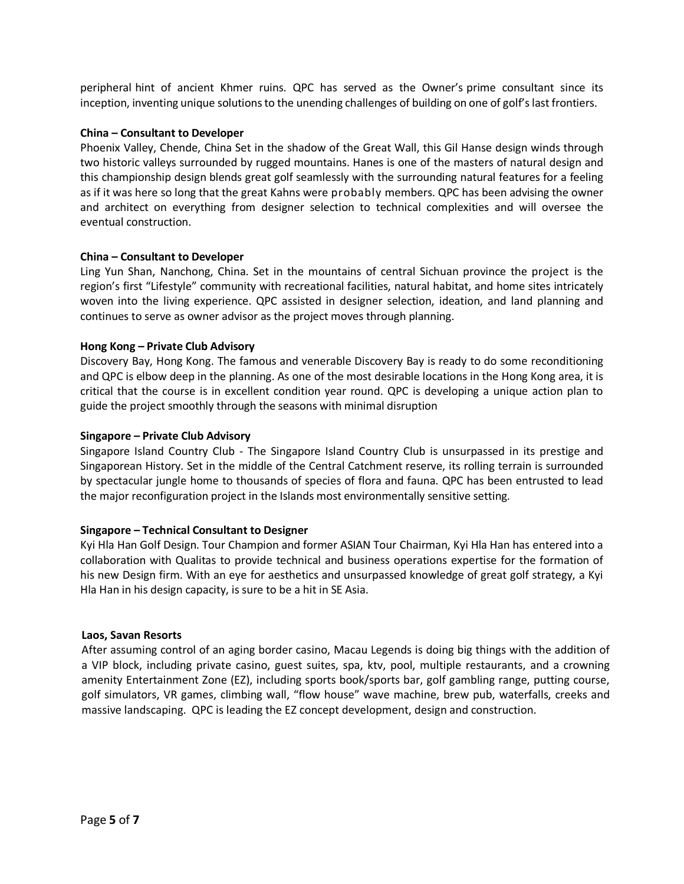peripheral hint of ancient Khmer ruins. QPC has served as the Owner's prime consultant since its inception, inventing unique solutions to the unending challenges of building on one of golf's last frontiers.

#### **China – Consultant to Developer**

Phoenix Valley, Chende, China Set in the shadow of the Great Wall, this Gil Hanse design winds through two historic valleys surrounded by rugged mountains. Hanes is one of the masters of natural design and this championship design blends great golf seamlessly with the surrounding natural features for a feeling as if it was here so long that the great Kahns were probably members. QPC has been advising the owner and architect on everything from designer selection to technical complexities and will oversee the eventual construction.

#### **China – Consultant to Developer**

Ling Yun Shan, Nanchong, China. Set in the mountains of central Sichuan province the project is the region's first "Lifestyle" community with recreational facilities, natural habitat, and home sites intricately woven into the living experience. QPC assisted in designer selection, ideation, and land planning and continues to serve as owner advisor as the project moves through planning.

#### **Hong Kong – Private Club Advisory**

Discovery Bay, Hong Kong. The famous and venerable Discovery Bay is ready to do some reconditioning and QPC is elbow deep in the planning. As one of the most desirable locations in the Hong Kong area, it is critical that the course is in excellent condition year round. QPC is developing a unique action plan to guide the project smoothly through the seasons with minimal disruption

#### **Singapore – Private Club Advisory**

Singapore Island Country Club - The Singapore Island Country Club is unsurpassed in its prestige and Singaporean History. Set in the middle of the Central Catchment reserve, its rolling terrain is surrounded by spectacular jungle home to thousands of species of flora and fauna. QPC has been entrusted to lead the major reconfiguration project in the Islands most environmentally sensitive setting.

# **Singapore – Technical Consultant to Designer**

Kyi Hla Han Golf Design. Tour Champion and former ASIAN Tour Chairman, Kyi Hla Han has entered into a collaboration with Qualitas to provide technical and business operations expertise for the formation of his new Design firm. With an eye for aesthetics and unsurpassed knowledge of great golf strategy, a Kyi Hla Han in his design capacity, is sure to be a hit in SE Asia.

#### **Laos, Savan Resorts**

After assuming control of an aging border casino, Macau Legends is doing big things with the addition of a VIP block, including private casino, guest suites, spa, ktv, pool, multiple restaurants, and a crowning amenity Entertainment Zone (EZ), including sports book/sports bar, golf gambling range, putting course, golf simulators, VR games, climbing wall, "flow house" wave machine, brew pub, waterfalls, creeks and massive landscaping. QPC is leading the EZ concept development, design and construction.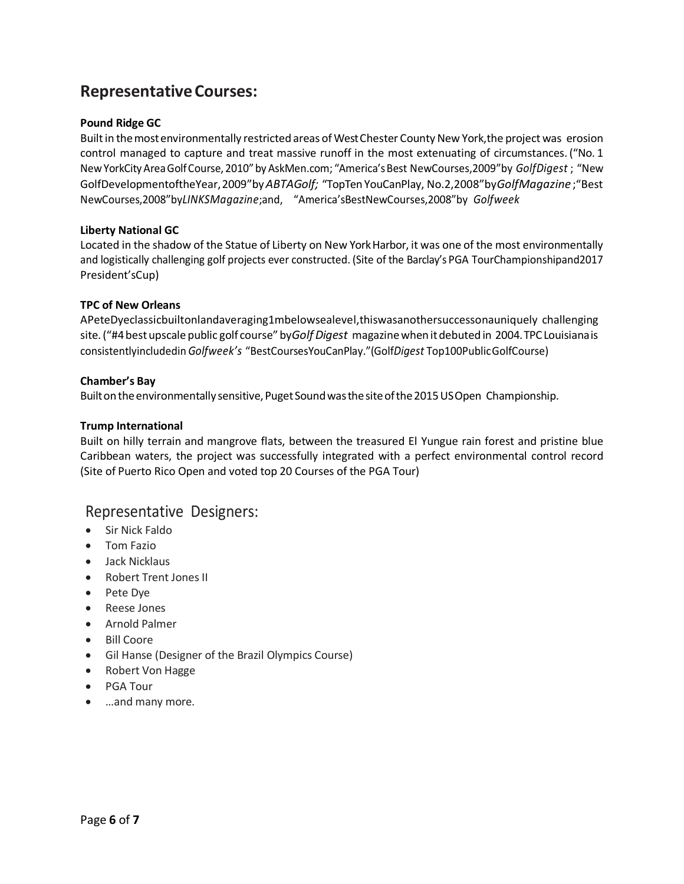# **RepresentativeCourses:**

# **Pound Ridge GC**

Built in the most environmentally restricted areas of West Chester County New York, the project was erosion control managed to capture and treat massive runoff in the most extenuating of circumstances. ("No. 1 NewYorkCityAreaGolfCourse, 2010"byAskMen.com; "America'sBest NewCourses,2009"by *GolfDigest* ; "New GolfDevelopmentoftheYear,2009"by*ABTAGolf;* "TopTenYouCanPlay, No.2,2008"by*GolfMagazine* ;"Best NewCourses,2008"by*LINKSMagazine*;and, "America'sBestNewCourses,2008"by *Golfweek*

# **Liberty National GC**

Located in the shadow of the Statue of Liberty on New YorkHarbor, it was one of the most environmentally and logistically challenging golf projects ever constructed. (Site of the Barclay's PGA TourChampionshipand2017 President'sCup)

#### **TPC of New Orleans**

APeteDyeclassicbuiltonlandaveraging1mbelowsealevel,thiswasanothersuccessonauniquely challenging site.("#4bestupscale public golf course"by*GolfDigest* magazinewhenitdebutedin 2004.TPCLouisianais consistentlyincludedin *Golfweek's* "BestCoursesYouCanPlay."(Golf*Digest* Top100PublicGolfCourse)

#### **Chamber's Bay**

Builtontheenvironmentallysensitive,PugetSoundwasthesiteofthe2015USOpen Championship.

#### **Trump International**

Built on hilly terrain and mangrove flats, between the treasured El Yungue rain forest and pristine blue Caribbean waters, the project was successfully integrated with a perfect environmental control record (Site of Puerto Rico Open and voted top 20 Courses of the PGA Tour)

# Representative Designers:

- Sir Nick Faldo
- Tom Fazio
- Jack Nicklaus
- Robert Trent Jones II
- Pete Dye
- Reese Jones
- Arnold Palmer
- Bill Coore
- Gil Hanse (Designer of the Brazil Olympics Course)
- Robert Von Hagge
- PGA Tour
- …and many more.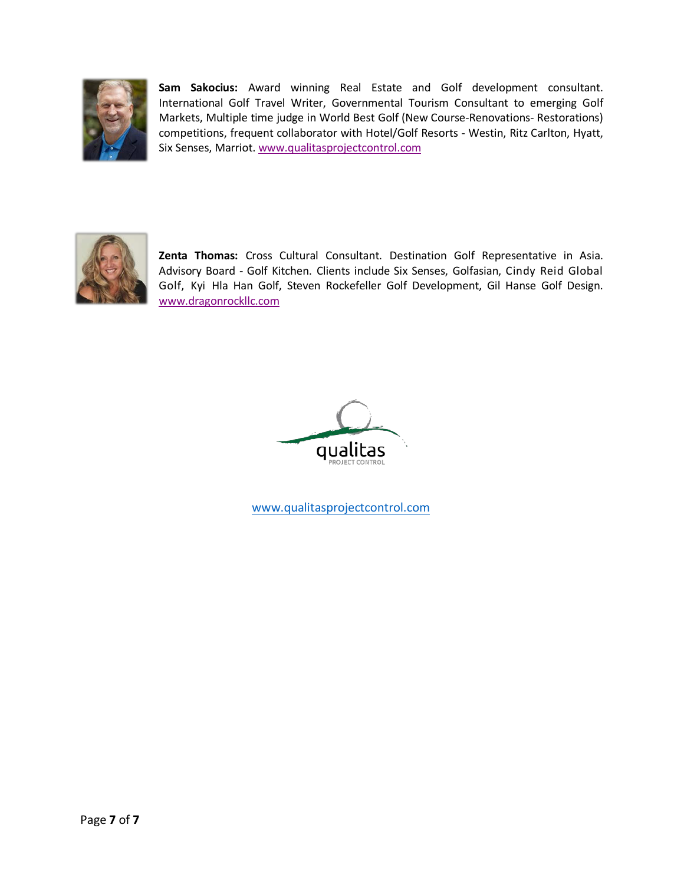

**Sam Sakocius:** Award winning Real Estate and Golf development consultant. International Golf Travel Writer, Governmental Tourism Consultant to emerging Golf Markets, Multiple time judge in World Best Golf (New Course-Renovations- Restorations) competitions, frequent collaborator with Hotel/Golf Resorts - Westin, Ritz Carlton, Hyatt, Six Senses, Marriot. www.qualitasprojectcontrol.com



**Zenta Thomas:** Cross Cultural Consultant. Destination Golf Representative in Asia. Advisory Board - Golf Kitchen. Clients include Six Senses, Golfasian, Cindy Reid Global Golf, Kyi Hla Han Golf, Steven Rockefeller Golf Development, Gil Hanse Golf Design. www.dragonrockllc.com



www.qualitasprojectcontrol.com